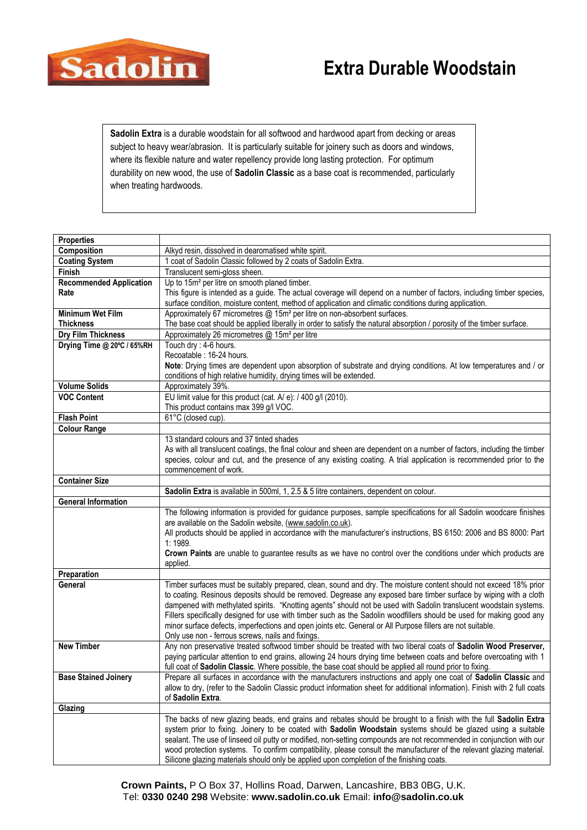

## **Extra Durable Woodstain**

**Sadolin Extra** is a durable woodstain for all softwood and hardwood apart from decking or areas subject to heavy wear/abrasion. It is particularly suitable for joinery such as doors and windows, where its flexible nature and water repellency provide long lasting protection. For optimum durability on new wood, the use of **Sadolin Classic** as a base coat is recommended, particularly when treating hardwoods.

| <b>Properties</b>                         |                                                                                                                                                                 |
|-------------------------------------------|-----------------------------------------------------------------------------------------------------------------------------------------------------------------|
| Composition                               | Alkyd resin, dissolved in dearomatised white spirit.                                                                                                            |
| <b>Coating System</b>                     | 1 coat of Sadolin Classic followed by 2 coats of Sadolin Extra.                                                                                                 |
| Finish                                    | Translucent semi-gloss sheen.                                                                                                                                   |
| <b>Recommended Application</b>            | Up to 15m <sup>2</sup> per litre on smooth planed timber.                                                                                                       |
| Rate                                      | This figure is intended as a guide. The actual coverage will depend on a number of factors, including timber species,                                           |
|                                           | surface condition, moisture content, method of application and climatic conditions during application.                                                          |
| <b>Minimum Wet Film</b>                   | Approximately 67 micrometres @ 15m <sup>2</sup> per litre on non-absorbent surfaces.                                                                            |
| <b>Thickness</b>                          | The base coat should be applied liberally in order to satisfy the natural absorption / porosity of the timber surface.                                          |
| <b>Dry Film Thickness</b>                 | Approximately 26 micrometres @ 15m <sup>2</sup> per litre                                                                                                       |
| Drying Time @ 20°C / 65%RH                | Touch dry : 4-6 hours.                                                                                                                                          |
|                                           | Recoatable : 16-24 hours.                                                                                                                                       |
|                                           | Note: Drying times are dependent upon absorption of substrate and drying conditions. At low temperatures and / or                                               |
|                                           | conditions of high relative humidity, drying times will be extended.                                                                                            |
| <b>Volume Solids</b>                      | Approximately 39%.                                                                                                                                              |
| <b>VOC Content</b>                        | EU limit value for this product (cat. A/ e): / 400 g/l (2010).                                                                                                  |
|                                           | This product contains max 399 g/l VOC.                                                                                                                          |
| <b>Flash Point</b><br><b>Colour Range</b> | 61°C (closed cup).                                                                                                                                              |
|                                           | 13 standard colours and 37 tinted shades                                                                                                                        |
|                                           | As with all translucent coatings, the final colour and sheen are dependent on a number of factors, including the timber                                         |
|                                           | species, colour and cut, and the presence of any existing coating. A trial application is recommended prior to the                                              |
|                                           | commencement of work.                                                                                                                                           |
| <b>Container Size</b>                     |                                                                                                                                                                 |
|                                           | Sadolin Extra is available in 500ml, 1, 2.5 & 5 litre containers, dependent on colour.                                                                          |
| <b>General Information</b>                |                                                                                                                                                                 |
|                                           | The following information is provided for guidance purposes, sample specifications for all Sadolin woodcare finishes                                            |
|                                           | are available on the Sadolin website, (www.sadolin.co.uk).                                                                                                      |
|                                           | All products should be applied in accordance with the manufacturer's instructions, BS 6150: 2006 and BS 8000: Part                                              |
|                                           | 1:1989.                                                                                                                                                         |
|                                           | Crown Paints are unable to guarantee results as we have no control over the conditions under which products are                                                 |
|                                           | applied.                                                                                                                                                        |
| Preparation                               |                                                                                                                                                                 |
| General                                   | Timber surfaces must be suitably prepared, clean, sound and dry. The moisture content should not exceed 18% prior                                               |
|                                           | to coating. Resinous deposits should be removed. Degrease any exposed bare timber surface by wiping with a cloth                                                |
|                                           | dampened with methylated spirits. "Knotting agents" should not be used with Sadolin translucent woodstain systems.                                              |
|                                           | Fillers specifically designed for use with timber such as the Sadolin woodfillers should be used for making good any                                            |
|                                           | minor surface defects, imperfections and open joints etc. General or All Purpose fillers are not suitable.<br>Only use non - ferrous screws, nails and fixings. |
| <b>New Timber</b>                         | Any non preservative treated softwood timber should be treated with two liberal coats of Sadolin Wood Preserver,                                                |
|                                           | paying particular attention to end grains, allowing 24 hours drying time between coats and before overcoating with 1                                            |
|                                           | full coat of Sadolin Classic. Where possible, the base coat should be applied all round prior to fixing.                                                        |
| <b>Base Stained Joinery</b>               | Prepare all surfaces in accordance with the manufacturers instructions and apply one coat of Sadolin Classic and                                                |
|                                           | allow to dry, (refer to the Sadolin Classic product information sheet for additional information). Finish with 2 full coats                                     |
|                                           | of Sadolin Extra.                                                                                                                                               |
| Glazing                                   |                                                                                                                                                                 |
|                                           | The backs of new glazing beads, end grains and rebates should be brought to a finish with the full Sadolin Extra                                                |
|                                           | system prior to fixing. Joinery to be coated with Sadolin Woodstain systems should be glazed using a suitable                                                   |
|                                           | sealant. The use of linseed oil putty or modified, non-setting compounds are not recommended in conjunction with our                                            |
|                                           | wood protection systems. To confirm compatibility, please consult the manufacturer of the relevant glazing material.                                            |
|                                           | Silicone glazing materials should only be applied upon completion of the finishing coats.                                                                       |

**Crown Paints,** P O Box 37, Hollins Road, Darwen, Lancashire, BB3 0BG, U.K. Tel: **0330 0240 298** Website: **www.sadolin.co.uk** Email: **info@sadolin.co.uk**